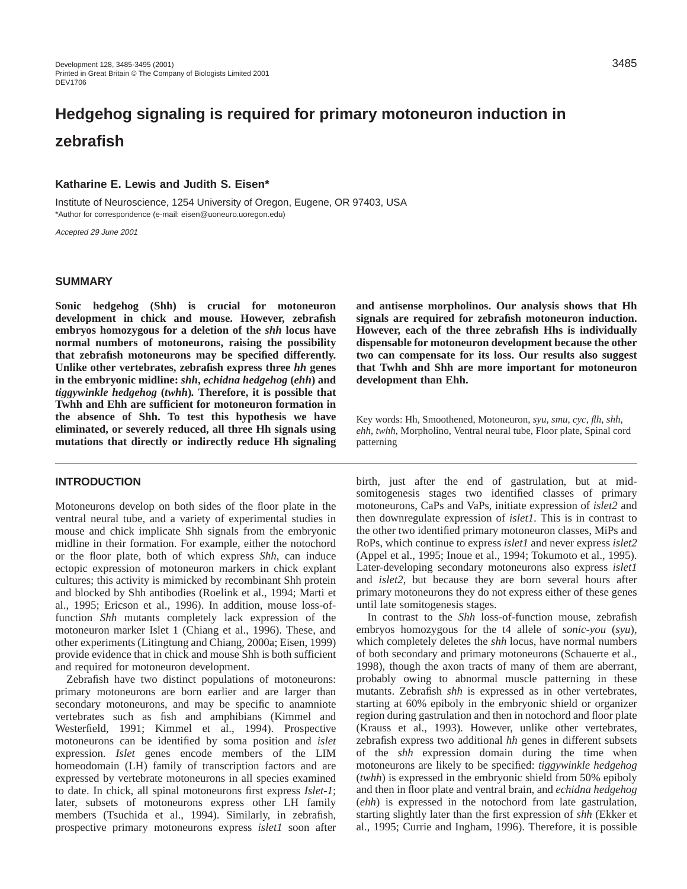# **Hedgehog signaling is required for primary motoneuron induction in zebrafish**

# **Katharine E. Lewis and Judith S. Eisen\***

Institute of Neuroscience, 1254 University of Oregon, Eugene, OR 97403, USA \*Author for correspondence (e-mail: eisen@uoneuro.uoregon.edu)

Accepted 29 June 2001

### **SUMMARY**

**Sonic hedgehog (Shh) is crucial for motoneuron development in chick and mouse. However, zebrafish embryos homozygous for a deletion of the** *shh* **locus have normal numbers of motoneurons, raising the possibility that zebrafish motoneurons may be specified differently. Unlike other vertebrates, zebrafish express three** *hh* **genes in the embryonic midline:** *shh***,** *echidna hedgehog* **(***ehh***) and** *tiggywinkle hedgehog* **(***twhh***)***.* **Therefore, it is possible that Twhh and Ehh are sufficient for motoneuron formation in the absence of Shh. To test this hypothesis we have eliminated, or severely reduced, all three Hh signals using mutations that directly or indirectly reduce Hh signaling**

## **INTRODUCTION**

Motoneurons develop on both sides of the floor plate in the ventral neural tube, and a variety of experimental studies in mouse and chick implicate Shh signals from the embryonic midline in their formation. For example, either the notochord or the floor plate, both of which express *Shh*, can induce ectopic expression of motoneuron markers in chick explant cultures; this activity is mimicked by recombinant Shh protein and blocked by Shh antibodies (Roelink et al., 1994; Marti et al., 1995; Ericson et al., 1996). In addition, mouse loss-offunction *Shh* mutants completely lack expression of the motoneuron marker Islet 1 (Chiang et al., 1996). These, and other experiments (Litingtung and Chiang, 2000a; Eisen, 1999) provide evidence that in chick and mouse Shh is both sufficient and required for motoneuron development.

Zebrafish have two distinct populations of motoneurons: primary motoneurons are born earlier and are larger than secondary motoneurons, and may be specific to anamniote vertebrates such as fish and amphibians (Kimmel and Westerfield, 1991; Kimmel et al., 1994). Prospective motoneurons can be identified by soma position and *islet* expression. *Islet* genes encode members of the LIM homeodomain (LH) family of transcription factors and are expressed by vertebrate motoneurons in all species examined to date. In chick, all spinal motoneurons first express *Islet-1*; later, subsets of motoneurons express other LH family members (Tsuchida et al., 1994). Similarly, in zebrafish, prospective primary motoneurons express *islet1* soon after

**and antisense morpholinos. Our analysis shows that Hh signals are required for zebrafish motoneuron induction. However, each of the three zebrafish Hhs is individually dispensable for motoneuron development because the other two can compensate for its loss. Our results also suggest that Twhh and Shh are more important for motoneuron development than Ehh.**

Key words: Hh, Smoothened, Motoneuron, *syu*, *smu*, *cyc*, *flh*, *shh*, *ehh*, *twhh*, Morpholino, Ventral neural tube, Floor plate, Spinal cord patterning

birth, just after the end of gastrulation, but at midsomitogenesis stages two identified classes of primary motoneurons, CaPs and VaPs, initiate expression of *islet2* and then downregulate expression of *islet1*. This is in contrast to the other two identified primary motoneuron classes, MiPs and RoPs, which continue to express *islet1* and never express *islet2* (Appel et al., 1995; Inoue et al., 1994; Tokumoto et al., 1995). Later-developing secondary motoneurons also express *islet1* and *islet2*, but because they are born several hours after primary motoneurons they do not express either of these genes until late somitogenesis stages.

In contrast to the *Shh* loss-of-function mouse, zebrafish embryos homozygous for the t4 allele of *sonic-you* (*syu*)*,* which completely deletes the *shh* locus, have normal numbers of both secondary and primary motoneurons (Schauerte et al., 1998), though the axon tracts of many of them are aberrant, probably owing to abnormal muscle patterning in these mutants. Zebrafish *shh* is expressed as in other vertebrates, starting at 60% epiboly in the embryonic shield or organizer region during gastrulation and then in notochord and floor plate (Krauss et al., 1993). However, unlike other vertebrates, zebrafish express two additional *hh* genes in different subsets of the *shh* expression domain during the time when motoneurons are likely to be specified: *tiggywinkle hedgehog* (*twhh*) is expressed in the embryonic shield from 50% epiboly and then in floor plate and ventral brain, and *echidna hedgehog* (*ehh*) is expressed in the notochord from late gastrulation, starting slightly later than the first expression of *shh* (Ekker et al., 1995; Currie and Ingham, 1996). Therefore, it is possible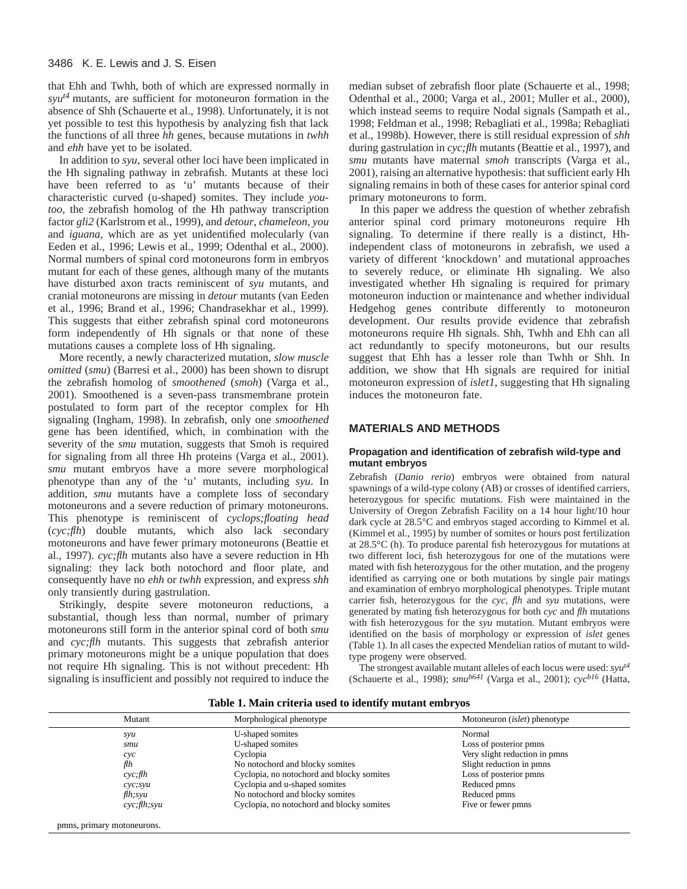that Ehh and Twhh, both of which are expressed normally in *syut4* mutants, are sufficient for motoneuron formation in the absence of Shh (Schauerte et al., 1998). Unfortunately, it is not yet possible to test this hypothesis by analyzing fish that lack the functions of all three *hh* genes, because mutations in *twhh* and *ehh* have yet to be isolated.

In addition to *syu*, several other loci have been implicated in the Hh signaling pathway in zebrafish. Mutants at these loci have been referred to as 'u' mutants because of their characteristic curved (u-shaped) somites. They include *youtoo*, the zebrafish homolog of the Hh pathway transcription factor *gli2* (Karlstrom et al., 1999), and *detour*, *chameleon*, *you* and *iguana*, which are as yet unidentified molecularly (van Eeden et al., 1996; Lewis et al., 1999; Odenthal et al., 2000). Normal numbers of spinal cord motoneurons form in embryos mutant for each of these genes, although many of the mutants have disturbed axon tracts reminiscent of *syu* mutants, and cranial motoneurons are missing in *detour* mutants (van Eeden et al., 1996; Brand et al., 1996; Chandrasekhar et al., 1999). This suggests that either zebrafish spinal cord motoneurons form independently of Hh signals or that none of these mutations causes a complete loss of Hh signaling.

More recently, a newly characterized mutation, *slow muscle omitted* (*smu*) (Barresi et al., 2000) has been shown to disrupt the zebrafish homolog of *smoothened* (*smoh*) (Varga et al., 2001). Smoothened is a seven-pass transmembrane protein postulated to form part of the receptor complex for Hh signaling (Ingham, 1998). In zebrafish, only one *smoothened* gene has been identified, which, in combination with the severity of the *smu* mutation, suggests that Smoh is required for signaling from all three Hh proteins (Varga et al., 2001). *smu* mutant embryos have a more severe morphological phenotype than any of the 'u' mutants, including *syu*. In addition, *smu* mutants have a complete loss of secondary motoneurons and a severe reduction of primary motoneurons. This phenotype is reminiscent of *cyclops;floating head* (*cyc;flh*) double mutants, which also lack secondary motoneurons and have fewer primary motoneurons (Beattie et al., 1997). *cyc;flh* mutants also have a severe reduction in Hh signaling: they lack both notochord and floor plate, and consequently have no *ehh* or *twhh* expression, and express *shh* only transiently during gastrulation.

Strikingly, despite severe motoneuron reductions, a substantial, though less than normal, number of primary motoneurons still form in the anterior spinal cord of both *smu* and *cyc;flh* mutants. This suggests that zebrafish anterior primary motoneurons might be a unique population that does not require Hh signaling. This is not without precedent: Hh signaling is insufficient and possibly not required to induce the

median subset of zebrafish floor plate (Schauerte et al., 1998; Odenthal et al., 2000; Varga et al., 2001; Muller et al., 2000), which instead seems to require Nodal signals (Sampath et al., 1998; Feldman et al., 1998; Rebagliati et al., 1998a; Rebagliati et al., 1998b). However, there is still residual expression of *shh* during gastrulation in *cyc;flh* mutants (Beattie et al., 1997), and *smu* mutants have maternal *smoh* transcripts (Varga et al., 2001), raising an alternative hypothesis: that sufficient early Hh signaling remains in both of these cases for anterior spinal cord primary motoneurons to form.

In this paper we address the question of whether zebrafish anterior spinal cord primary motoneurons require Hh signaling. To determine if there really is a distinct, Hhindependent class of motoneurons in zebrafish, we used a variety of different 'knockdown' and mutational approaches to severely reduce, or eliminate Hh signaling. We also investigated whether Hh signaling is required for primary motoneuron induction or maintenance and whether individual Hedgehog genes contribute differently to motoneuron development. Our results provide evidence that zebrafish motoneurons require Hh signals. Shh, Twhh and Ehh can all act redundantly to specify motoneurons, but our results suggest that Ehh has a lesser role than Twhh or Shh. In addition, we show that Hh signals are required for initial motoneuron expression of *islet1*, suggesting that Hh signaling induces the motoneuron fate.

## **MATERIALS AND METHODS**

### **Propagation and identification of zebrafish wild-type and mutant embryos**

Zebrafish (*Danio rerio*) embryos were obtained from natural spawnings of a wild-type colony (AB) or crosses of identified carriers, heterozygous for specific mutations. Fish were maintained in the University of Oregon Zebrafish Facility on a 14 hour light/10 hour dark cycle at 28.5°C and embryos staged according to Kimmel et al. (Kimmel et al., 1995) by number of somites or hours post fertilization at 28.5°C (h). To produce parental fish heterozygous for mutations at two different loci, fish heterozygous for one of the mutations were mated with fish heterozygous for the other mutation, and the progeny identified as carrying one or both mutations by single pair matings and examination of embryo morphological phenotypes. Triple mutant carrier fish, heterozygous for the *cyc, flh* and *syu* mutations, were generated by mating fish heterozygous for both *cyc* and *flh* mutations with fish heterozygous for the *syu* mutation. Mutant embryos were identified on the basis of morphology or expression of *islet* genes (Table 1). In all cases the expected Mendelian ratios of mutant to wildtype progeny were observed.

The strongest available mutant alleles of each locus were used: *syut4* (Schauerte et al., 1998); *smub641* (Varga et al., 2001); *cycb16* (Hatta,

| Mutant        | Morphological phenotype                   | Motoneuron <i>(islet)</i> phenotype |
|---------------|-------------------------------------------|-------------------------------------|
| syu           | U-shaped somites                          | Normal                              |
| smu           | U-shaped somites                          | Loss of posterior pmns              |
| cyc           | Cyclopia                                  | Very slight reduction in pmns       |
| flh           | No notochord and blocky somites           | Slight reduction in pmns            |
| cyc;fh        | Cyclopia, no notochord and blocky somites | Loss of posterior pmns              |
| $cyc$ ; syu   | Cyclopia and u-shaped somites             | Reduced pmns                        |
| $f\!lh$ ; syu | No notochord and blocky somites           | Reduced pmns                        |
| cyc;fh;svu    | Cyclopia, no notochord and blocky somites | Five or fewer pmns                  |

**Table 1. Main criteria used to identify mutant embryos**

pmns, primary motoneurons.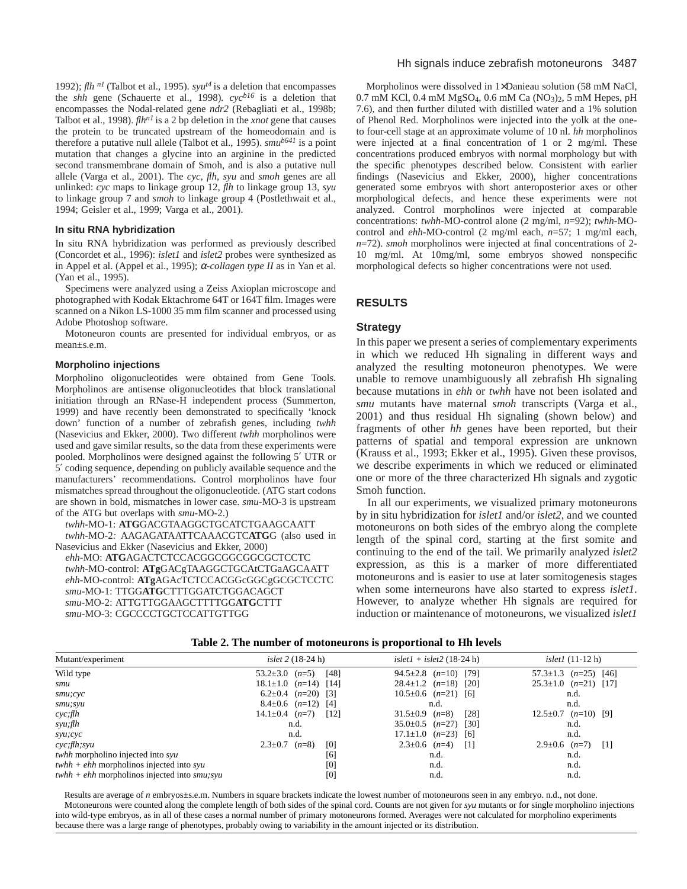1992); *flh n1* (Talbot et al., 1995). *syut4* is a deletion that encompasses the *shh* gene (Schauerte et al., 1998)*. cycb16* is a deletion that encompasses the Nodal-related gene *ndr2* (Rebagliati et al., 1998b; Talbot et al., 1998). *flhn1* is a 2 bp deletion in the *xnot* gene that causes the protein to be truncated upstream of the homeodomain and is therefore a putative null allele (Talbot et al., 1995). *smub641* is a point mutation that changes a glycine into an arginine in the predicted second transmembrane domain of Smoh, and is also a putative null allele (Varga et al., 2001). The *cyc*, *flh*, *syu* and *smoh* genes are all unlinked: *cyc* maps to linkage group 12, *flh* to linkage group 13, *syu* to linkage group 7 and *smoh* to linkage group 4 (Postlethwait et al., 1994; Geisler et al., 1999; Varga et al., 2001).

#### **In situ RNA hybridization**

In situ RNA hybridization was performed as previously described (Concordet et al., 1996): *islet1* and *islet2* probes were synthesized as in Appel et al. (Appel et al., 1995); <sup>α</sup>*-collagen type II* as in Yan et al. (Yan et al., 1995).

Specimens were analyzed using a Zeiss Axioplan microscope and photographed with Kodak Ektachrome 64T or 164T film. Images were scanned on a Nikon LS-1000 35 mm film scanner and processed using Adobe Photoshop software.

Motoneuron counts are presented for individual embryos, or as mean±s.e.m.

## **Morpholino injections**

Morpholino oligonucleotides were obtained from Gene Tools. Morpholinos are antisense oligonucleotides that block translational initiation through an RNase-H independent process (Summerton, 1999) and have recently been demonstrated to specifically 'knock down' function of a number of zebrafish genes, including *twhh* (Nasevicius and Ekker, 2000). Two different *twhh* morpholinos were used and gave similar results, so the data from these experiments were pooled. Morpholinos were designed against the following 5′ UTR or 5′ coding sequence, depending on publicly available sequence and the manufacturers' recommendations. Control morpholinos have four mismatches spread throughout the oligonucleotide. (ATG start codons are shown in bold, mismatches in lower case. *smu*-MO-3 is upstream of the ATG but overlaps with *smu*-MO-2.)

*twhh*-MO-1: **ATG**GACGTAAGGCTGCATCTGAAGCAATT *twhh*-MO-2*:* AAGAGATAATTCAAACGTC**ATG**G (also used in Nasevicius and Ekker (Nasevicius and Ekker, 2000) *ehh*-MO: **ATG**AGACTCTCCACGGCGGCGGCGCTCCTC *twhh*-MO-control: **ATg**GACgTAAGGCTGCAtCTGaAGCAATT *ehh*-MO-control: **ATg**AGAcTCTCCACGGcGGCgGCGCTCCTC *smu*-MO-1: TTGG**ATG**CTTTGGATCTGGACAGCT *smu*-MO-2: ATTGTTGGAAGCTTTTGG**ATG**CTTT *smu*-MO-3: CGCCCCTGCTCCATTGTTGG

#### Hh signals induce zebrafish motoneurons 3487

Morpholinos were dissolved in 1×Danieau solution (58 mM NaCl, 0.7 mM KCl, 0.4 mM MgSO4, 0.6 mM Ca (NO3)2, 5 mM Hepes, pH 7.6), and then further diluted with distilled water and a 1% solution of Phenol Red. Morpholinos were injected into the yolk at the oneto four-cell stage at an approximate volume of 10 nl. *hh* morpholinos were injected at a final concentration of 1 or 2 mg/ml. These concentrations produced embryos with normal morphology but with the specific phenotypes described below. Consistent with earlier findings (Nasevicius and Ekker, 2000), higher concentrations generated some embryos with short anteroposterior axes or other morphological defects, and hence these experiments were not analyzed. Control morpholinos were injected at comparable concentrations: *twhh*-MO-control alone (2 mg/ml, *n*=92); *twhh*-MOcontrol and *ehh*-MO-control (2 mg/ml each, *n*=57; 1 mg/ml each, *n*=72). *smoh* morpholinos were injected at final concentrations of 2- 10 mg/ml. At 10mg/ml, some embryos showed nonspecific morphological defects so higher concentrations were not used.

#### **RESULTS**

#### **Strategy**

In this paper we present a series of complementary experiments in which we reduced Hh signaling in different ways and analyzed the resulting motoneuron phenotypes. We were unable to remove unambiguously all zebrafish Hh signaling because mutations in *ehh* or *twhh* have not been isolated and *smu* mutants have maternal *smoh* transcripts (Varga et al., 2001) and thus residual Hh signaling (shown below) and fragments of other *hh* genes have been reported, but their patterns of spatial and temporal expression are unknown (Krauss et al., 1993; Ekker et al., 1995). Given these provisos, we describe experiments in which we reduced or eliminated one or more of the three characterized Hh signals and zygotic Smoh function.

In all our experiments, we visualized primary motoneurons by in situ hybridization for *islet1* and/or *islet2*, and we counted motoneurons on both sides of the embryo along the complete length of the spinal cord, starting at the first somite and continuing to the end of the tail. We primarily analyzed *islet2* expression, as this is a marker of more differentiated motoneurons and is easier to use at later somitogenesis stages when some interneurons have also started to express *islet1*. However, to analyze whether Hh signals are required for induction or maintenance of motoneurons, we visualized *islet1*

| <i>islet</i> $2(18-24h)$            | $islet1 + islet2$ (18-24 h)           | <i>islet1</i> $(11-12 h)$                         |
|-------------------------------------|---------------------------------------|---------------------------------------------------|
| $53.2 \pm 3.0$ $(n=5)$<br>[48]      | 94.5 $\pm$ 2.8 ( <i>n</i> =10) [79]   | 57.3 $\pm$ 1.3 ( <i>n</i> =25) [46]               |
| $18.1 \pm 1.0$ $(n=14)$ [14]        | $28.4 \pm 1.2$ $(n=18)$ [20]          | $25.3 \pm 1.0$ $(n=21)$ [17]                      |
| 6.2 $\pm$ 0.4 ( <i>n</i> =20) [3]   | $10.5 \pm 0.6$ $(n=21)$ [6]           | n.d.                                              |
| $8.4\pm0.6$ $(n=12)$ [4]            | n.d.                                  | n.d.                                              |
| $14.1 \pm 0.4$ $(n=7)$<br>$[12]$    | [28]<br>$31.5\pm0.9$ $(n=8)$          | $12.5\pm0.7$ $(n=10)$ [9]                         |
| n.d.                                | $35.0 \pm 0.5$ $(n=27)$ [30]          | n.d.                                              |
| n.d.                                | $17.1 \pm 1.0$ $(n=23)$ [6]           | n.d.                                              |
| $2.3 \pm 0.7$ ( <i>n</i> =8)<br>[0] | $2.3 \pm 0.6$ ( <i>n</i> =4)<br>$[1]$ | $2.9 \pm 0.6$ ( <i>n</i> =7)<br>$\lceil 1 \rceil$ |
| [6]                                 | n.d.                                  | n.d.                                              |
| [0]                                 | n.d.                                  | n.d.                                              |
| [0]                                 | n.d.                                  | n.d.                                              |
|                                     |                                       |                                                   |

Results are average of *n* embryos±s.e.m. Numbers in square brackets indicate the lowest number of motoneurons seen in any embryo. n.d., not done. Motoneurons were counted along the complete length of both sides of the spinal cord. Counts are not given for *syu* mutants or for single morpholino injections into wild-type embryos, as in all of these cases a normal number of primary motoneurons formed. Averages were not calculated for morpholino experiments because there was a large range of phenotypes, probably owing to variability in the amount injected or its distribution.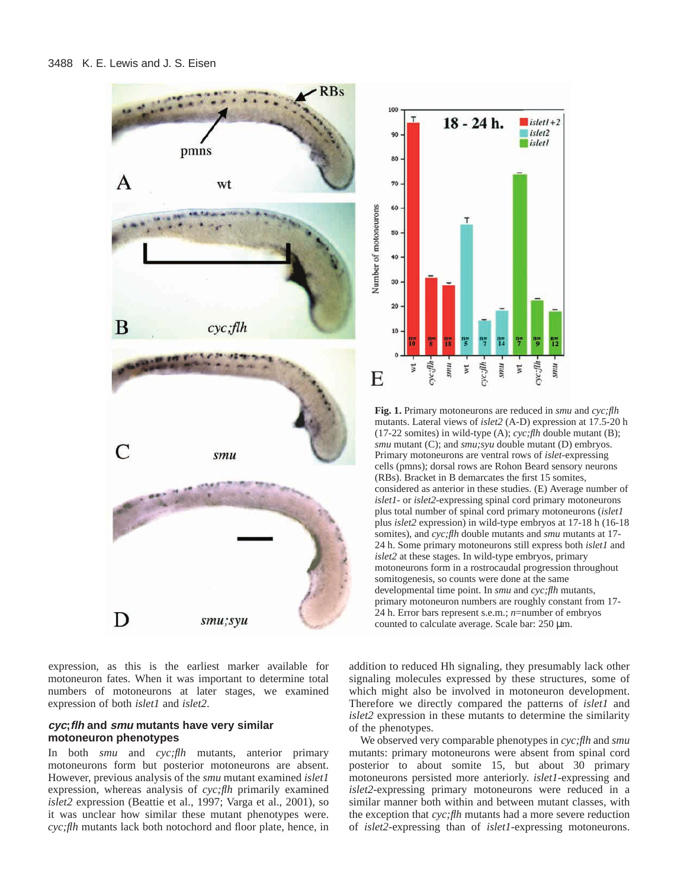

expression, as this is the earliest marker available for motoneuron fates. When it was important to determine total numbers of motoneurons at later stages, we examined expression of both *islet1* and *islet2*.

## **cyc;flh and smu mutants have very similar motoneuron phenotypes**

In both *smu* and *cyc;flh* mutants, anterior primary motoneurons form but posterior motoneurons are absent. However, previous analysis of the *smu* mutant examined *islet1* expression, whereas analysis of *cyc;flh* primarily examined *islet2* expression (Beattie et al., 1997; Varga et al., 2001), so it was unclear how similar these mutant phenotypes were. *cyc;flh* mutants lack both notochord and floor plate, hence, in



**Fig. 1.** Primary motoneurons are reduced in *smu* and *cyc;flh* mutants. Lateral views of *islet2* (A-D) expression at 17.5-20 h (17-22 somites) in wild-type (A); *cyc;flh* double mutant (B); *smu* mutant (C); and *smu;syu* double mutant (D) embryos. Primary motoneurons are ventral rows of *islet*-expressing cells (pmns); dorsal rows are Rohon Beard sensory neurons (RBs). Bracket in B demarcates the first 15 somites, considered as anterior in these studies. (E) Average number of *islet1*- or *islet2*-expressing spinal cord primary motoneurons plus total number of spinal cord primary motoneurons (*islet1* plus *islet2* expression) in wild-type embryos at 17-18 h (16-18 somites), and *cyc;flh* double mutants and *smu* mutants at 17- 24 h. Some primary motoneurons still express both *islet1* and *islet2* at these stages. In wild-type embryos, primary motoneurons form in a rostrocaudal progression throughout somitogenesis, so counts were done at the same developmental time point. In *smu* and *cyc;flh* mutants, primary motoneuron numbers are roughly constant from 17- 24 h. Error bars represent s.e.m.; *n*=number of embryos counted to calculate average. Scale bar: 250 µm.

addition to reduced Hh signaling, they presumably lack other signaling molecules expressed by these structures, some of which might also be involved in motoneuron development. Therefore we directly compared the patterns of *islet1* and *islet2* expression in these mutants to determine the similarity of the phenotypes.

We observed very comparable phenotypes in *cyc;flh* and *smu* mutants: primary motoneurons were absent from spinal cord posterior to about somite 15, but about 30 primary motoneurons persisted more anteriorly. *islet1*-expressing and *islet2*-expressing primary motoneurons were reduced in a similar manner both within and between mutant classes, with the exception that *cyc;flh* mutants had a more severe reduction of *islet2*-expressing than of *islet1-*expressing motoneurons.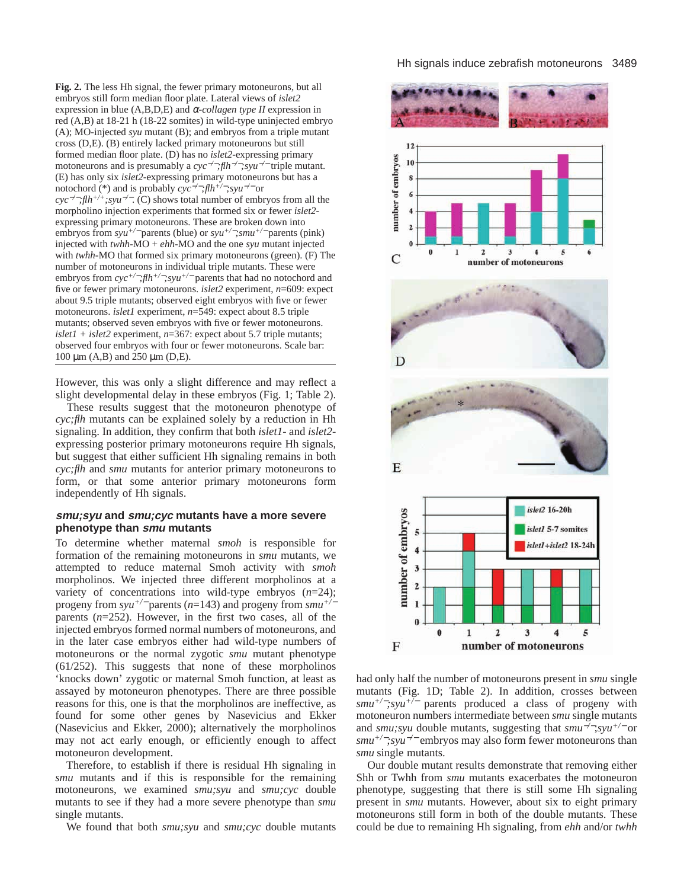**Fig. 2.** The less Hh signal, the fewer primary motoneurons, but all embryos still form median floor plate. Lateral views of *islet2* expression in blue (A,B,D,E) and α*-collagen type II* expression in red (A,B) at 18-21 h (18-22 somites) in wild-type uninjected embryo (A); MO-injected *syu* mutant (B); and embryos from a triple mutant cross (D,E). (B) entirely lacked primary motoneurons but still formed median floor plate. (D) has no *islet2*-expressing primary motoneurons and is presumably a *cyc*−*/*−*;flh*−*/*−*;syu*−*/*<sup>−</sup> triple mutant. (E) has only six *islet2*-expressing primary motoneurons but has a notochord (\*) and is probably *cyc*−*/*−*;flh+/*−*;syu*−*/*<sup>−</sup> or *cyc*−*/*−*;flh+/+;syu*−*/*−. (C) shows total number of embryos from all the morpholino injection experiments that formed six or fewer *islet2* expressing primary motoneurons. These are broken down into embryos from *syu+/*<sup>−</sup> parents (blue) or *syu+/*−*;smu+/*<sup>−</sup> parents (pink) injected with  $twhh\text{-}MO + ehh\text{-}MO$  and the one *syu* mutant injected with *twhh*-MO that formed six primary motoneurons (green). (F) The number of motoneurons in individual triple mutants. These were embryos from *cyc+/*−*;flh+/*−*;syu+/*<sup>−</sup> parents that had no notochord and five or fewer primary motoneurons. *islet2* experiment, *n*=609: expect about 9.5 triple mutants; observed eight embryos with five or fewer motoneurons. *islet1* experiment, *n*=549: expect about 8.5 triple mutants; observed seven embryos with five or fewer motoneurons. *islet1 + islet2* experiment, *n*=367: expect about 5.7 triple mutants; observed four embryos with four or fewer motoneurons. Scale bar: 100 µm (A,B) and 250 µm (D,E).

However, this was only a slight difference and may reflect a slight developmental delay in these embryos (Fig. 1; Table 2).

These results suggest that the motoneuron phenotype of *cyc;flh* mutants can be explained solely by a reduction in Hh signaling. In addition, they confirm that both *islet1*- and *islet2* expressing posterior primary motoneurons require Hh signals, but suggest that either sufficient Hh signaling remains in both *cyc;flh* and *smu* mutants for anterior primary motoneurons to form, or that some anterior primary motoneurons form independently of Hh signals.

# **smu;syu and smu;cyc mutants have a more severe phenotype than smu mutants**

To determine whether maternal *smoh* is responsible for formation of the remaining motoneurons in *smu* mutants, we attempted to reduce maternal Smoh activity with *smoh* morpholinos. We injected three different morpholinos at a variety of concentrations into wild-type embryos (*n*=24); progeny from *syu+/*<sup>−</sup> parents (*n*=143) and progeny from *smu+/*<sup>−</sup> parents (*n*=252). However, in the first two cases, all of the injected embryos formed normal numbers of motoneurons, and in the later case embryos either had wild-type numbers of motoneurons or the normal zygotic *smu* mutant phenotype (61/252). This suggests that none of these morpholinos 'knocks down' zygotic or maternal Smoh function, at least as assayed by motoneuron phenotypes. There are three possible reasons for this, one is that the morpholinos are ineffective, as found for some other genes by Nasevicius and Ekker (Nasevicius and Ekker, 2000); alternatively the morpholinos may not act early enough, or efficiently enough to affect motoneuron development.

Therefore, to establish if there is residual Hh signaling in *smu* mutants and if this is responsible for the remaining motoneurons, we examined *smu;syu* and *smu;cyc* double mutants to see if they had a more severe phenotype than *smu* single mutants.

We found that both *smu;syu* and *smu;cyc* double mutants



had only half the number of motoneurons present in *smu* single mutants (Fig. 1D; Table 2). In addition, crosses between *smu+/*−*;syu+/*<sup>−</sup> parents produced a class of progeny with motoneuron numbers intermediate between *smu* single mutants and *smu;syu* double mutants, suggesting that *smu*−*/*−;*syu+/*<sup>−</sup> or *smu+/*−*;syu*−*/*<sup>−</sup> embryos may also form fewer motoneurons than *smu* single mutants.

Our double mutant results demonstrate that removing either Shh or Twhh from *smu* mutants exacerbates the motoneuron phenotype, suggesting that there is still some Hh signaling present in *smu* mutants. However, about six to eight primary motoneurons still form in both of the double mutants. These could be due to remaining Hh signaling, from *ehh* and/or *twhh*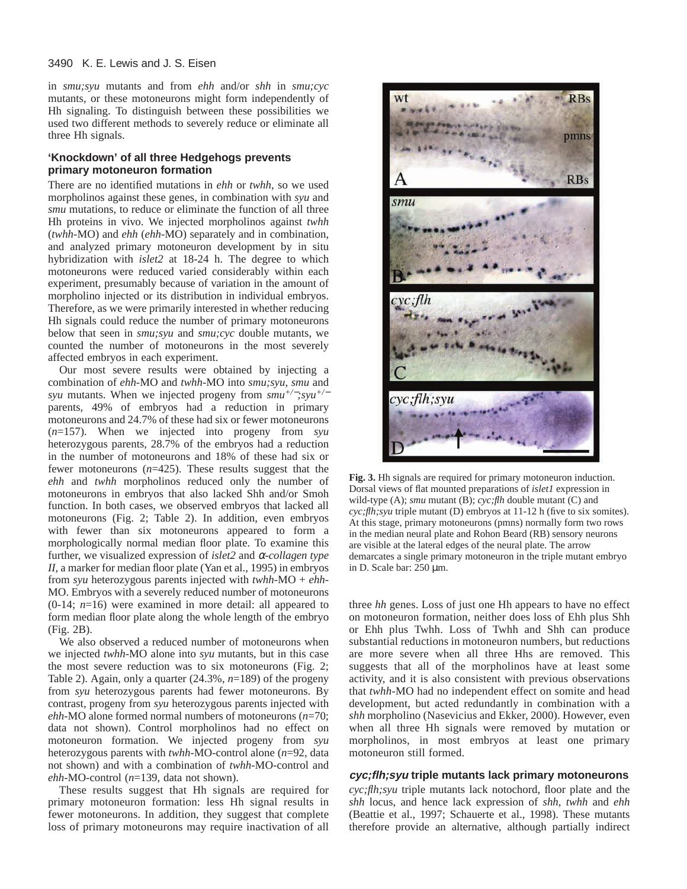#### 3490 K. E. Lewis and J. S. Eisen

in *smu;syu* mutants and from *ehh* and/or *shh* in *smu;cyc* mutants, or these motoneurons might form independently of Hh signaling. To distinguish between these possibilities we used two different methods to severely reduce or eliminate all three Hh signals.

## **'Knockdown' of all three Hedgehogs prevents primary motoneuron formation**

There are no identified mutations in *ehh* or *twhh*, so we used morpholinos against these genes, in combination with *syu* and *smu* mutations, to reduce or eliminate the function of all three Hh proteins in vivo. We injected morpholinos against *twhh* (*twhh*-MO) and *ehh* (*ehh*-MO) separately and in combination, and analyzed primary motoneuron development by in situ hybridization with *islet2* at 18-24 h. The degree to which motoneurons were reduced varied considerably within each experiment, presumably because of variation in the amount of morpholino injected or its distribution in individual embryos. Therefore, as we were primarily interested in whether reducing Hh signals could reduce the number of primary motoneurons below that seen in *smu;syu* and *smu;cyc* double mutants, we counted the number of motoneurons in the most severely affected embryos in each experiment.

Our most severe results were obtained by injecting a combination of *ehh*-MO and *twhh*-MO into *smu;syu*, *smu* and *syu* mutants. When we injected progeny from *smu+/*−*;syu+/*<sup>−</sup> parents, 49% of embryos had a reduction in primary motoneurons and 24.7% of these had six or fewer motoneurons (*n*=157). When we injected into progeny from *syu* heterozygous parents, 28.7% of the embryos had a reduction in the number of motoneurons and 18% of these had six or fewer motoneurons (*n*=425). These results suggest that the *ehh* and *twhh* morpholinos reduced only the number of motoneurons in embryos that also lacked Shh and/or Smoh function. In both cases, we observed embryos that lacked all motoneurons (Fig. 2; Table 2). In addition, even embryos with fewer than six motoneurons appeared to form a morphologically normal median floor plate. To examine this further, we visualized expression of *islet2* and α*-collagen type II*, a marker for median floor plate (Yan et al., 1995) in embryos from *syu* heterozygous parents injected with *twhh*-MO + *ehh*-MO. Embryos with a severely reduced number of motoneurons (0-14; *n*=16) were examined in more detail: all appeared to form median floor plate along the whole length of the embryo (Fig. 2B).

We also observed a reduced number of motoneurons when we injected *twhh*-MO alone into *syu* mutants, but in this case the most severe reduction was to six motoneurons (Fig. 2; Table 2). Again, only a quarter (24.3%, *n*=189) of the progeny from *syu* heterozygous parents had fewer motoneurons. By contrast, progeny from *syu* heterozygous parents injected with *ehh*-MO alone formed normal numbers of motoneurons (*n*=70; data not shown). Control morpholinos had no effect on motoneuron formation. We injected progeny from *syu* heterozygous parents with *twhh*-MO-control alone (*n*=92, data not shown) and with a combination of *twhh*-MO-control and *ehh*-MO-control (*n*=139, data not shown).

These results suggest that Hh signals are required for primary motoneuron formation: less Hh signal results in fewer motoneurons. In addition, they suggest that complete loss of primary motoneurons may require inactivation of all



**Fig. 3.** Hh signals are required for primary motoneuron induction. Dorsal views of flat mounted preparations of *islet1* expression in wild-type (A); *smu* mutant (B); *cyc;flh* double mutant (C) and *cyc;flh;syu* triple mutant (D) embryos at 11-12 h (five to six somites). At this stage, primary motoneurons (pmns) normally form two rows in the median neural plate and Rohon Beard (RB) sensory neurons are visible at the lateral edges of the neural plate. The arrow demarcates a single primary motoneuron in the triple mutant embryo in D. Scale bar: 250 µm.

three *hh* genes. Loss of just one Hh appears to have no effect on motoneuron formation, neither does loss of Ehh plus Shh or Ehh plus Twhh. Loss of Twhh and Shh can produce substantial reductions in motoneuron numbers, but reductions are more severe when all three Hhs are removed. This suggests that all of the morpholinos have at least some activity, and it is also consistent with previous observations that *twhh*-MO had no independent effect on somite and head development, but acted redundantly in combination with a *shh* morpholino (Nasevicius and Ekker, 2000). However, even when all three Hh signals were removed by mutation or morpholinos, in most embryos at least one primary motoneuron still formed.

# **cyc;flh;syu triple mutants lack primary motoneurons**

*cyc;flh;syu* triple mutants lack notochord, floor plate and the *shh* locus, and hence lack expression of *shh*, *twhh* and *ehh* (Beattie et al., 1997; Schauerte et al., 1998). These mutants therefore provide an alternative, although partially indirect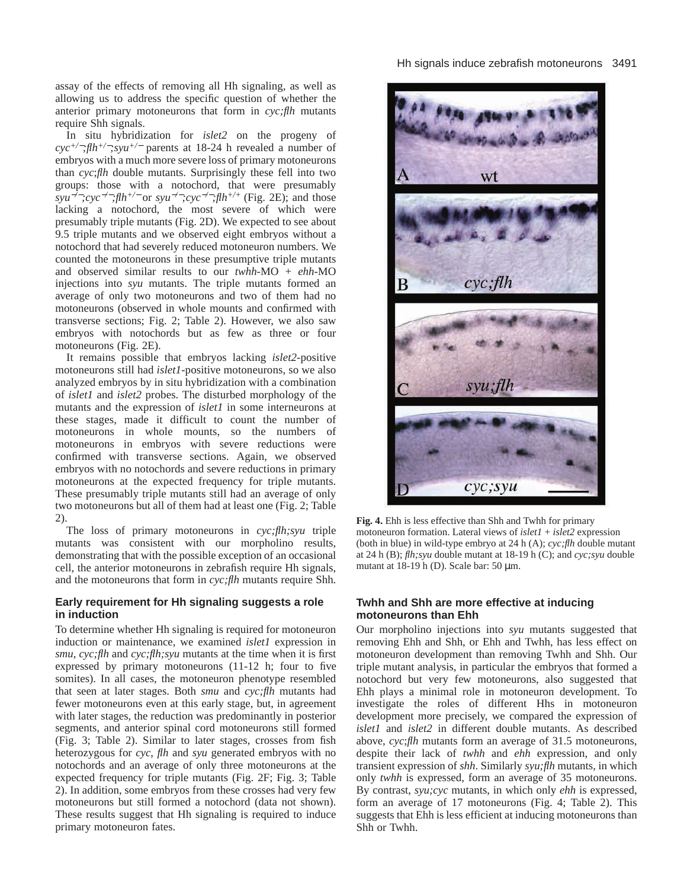assay of the effects of removing all Hh signaling, as well as allowing us to address the specific question of whether the anterior primary motoneurons that form in *cyc;flh* mutants require Shh signals.

In situ hybridization for *islet2* on the progeny of *cyc+/*−*;flh+/*−*;syu+/*<sup>−</sup> parents at 18-24 h revealed a number of embryos with a much more severe loss of primary motoneurons than *cyc*;*flh* double mutants. Surprisingly these fell into two groups: those with a notochord, that were presumably *syu<sup>-* $\bar{f}$ −*;cyc<sup>-* $\bar{f}$ *</sup>;flh<sup>+* $\bar{f}$ *</sup> or <i>syu<sup>-* $\bar{f}$ ;*cyc<sup>-* $\bar{f}$ -*;flh<sup>+* $\bar{f}$ + (Fig. 2E); and those</sup></sup></sup></sup> lacking a notochord, the most severe of which were presumably triple mutants (Fig. 2D). We expected to see about 9.5 triple mutants and we observed eight embryos without a notochord that had severely reduced motoneuron numbers. We counted the motoneurons in these presumptive triple mutants and observed similar results to our *twhh*-MO + *ehh*-MO injections into *syu* mutants. The triple mutants formed an average of only two motoneurons and two of them had no motoneurons (observed in whole mounts and confirmed with transverse sections; Fig. 2; Table 2). However, we also saw embryos with notochords but as few as three or four motoneurons (Fig. 2E).

It remains possible that embryos lacking *islet2*-positive motoneurons still had *islet1*-positive motoneurons, so we also analyzed embryos by in situ hybridization with a combination of *islet1* and *islet2* probes. The disturbed morphology of the mutants and the expression of *islet1* in some interneurons at these stages, made it difficult to count the number of motoneurons in whole mounts, so the numbers of motoneurons in embryos with severe reductions were confirmed with transverse sections. Again, we observed embryos with no notochords and severe reductions in primary motoneurons at the expected frequency for triple mutants. These presumably triple mutants still had an average of only two motoneurons but all of them had at least one (Fig. 2; Table 2).

The loss of primary motoneurons in *cyc;flh;syu* triple mutants was consistent with our morpholino results, demonstrating that with the possible exception of an occasional cell, the anterior motoneurons in zebrafish require Hh signals, and the motoneurons that form in *cyc;flh* mutants require Shh.

# **Early requirement for Hh signaling suggests a role in induction**

To determine whether Hh signaling is required for motoneuron induction or maintenance, we examined *islet1* expression in *smu*, *cyc;flh* and *cyc;flh;syu* mutants at the time when it is first expressed by primary motoneurons (11-12 h; four to five somites). In all cases, the motoneuron phenotype resembled that seen at later stages. Both *smu* and *cyc;flh* mutants had fewer motoneurons even at this early stage, but, in agreement with later stages, the reduction was predominantly in posterior segments, and anterior spinal cord motoneurons still formed (Fig. 3; Table 2). Similar to later stages, crosses from fish heterozygous for *cyc*, *flh* and *syu* generated embryos with no notochords and an average of only three motoneurons at the expected frequency for triple mutants (Fig. 2F; Fig. 3; Table 2). In addition, some embryos from these crosses had very few motoneurons but still formed a notochord (data not shown). These results suggest that Hh signaling is required to induce primary motoneuron fates.



**Fig. 4.** Ehh is less effective than Shh and Twhh for primary motoneuron formation. Lateral views of *islet1* + *islet2* expression (both in blue) in wild-type embryo at 24 h (A); *cyc;flh* double mutant at 24 h (B); *flh;syu* double mutant at 18-19 h (C); and *cyc;syu* double mutant at  $18-19$  h (D). Scale bar: 50  $\mu$ m.

# **Twhh and Shh are more effective at inducing motoneurons than Ehh**

Our morpholino injections into *syu* mutants suggested that removing Ehh and Shh, or Ehh and Twhh, has less effect on motoneuron development than removing Twhh and Shh. Our triple mutant analysis, in particular the embryos that formed a notochord but very few motoneurons, also suggested that Ehh plays a minimal role in motoneuron development. To investigate the roles of different Hhs in motoneuron development more precisely, we compared the expression of *islet1* and *islet2* in different double mutants. As described above, *cyc*;*flh* mutants form an average of 31.5 motoneurons, despite their lack of *twhh* and *ehh* expression, and only transient expression of *shh*. Similarly *syu;flh* mutants, in which only *twhh* is expressed, form an average of 35 motoneurons. By contrast, *syu;cyc* mutants, in which only *ehh* is expressed, form an average of 17 motoneurons (Fig. 4; Table 2). This suggests that Ehh is less efficient at inducing motoneurons than Shh or Twhh.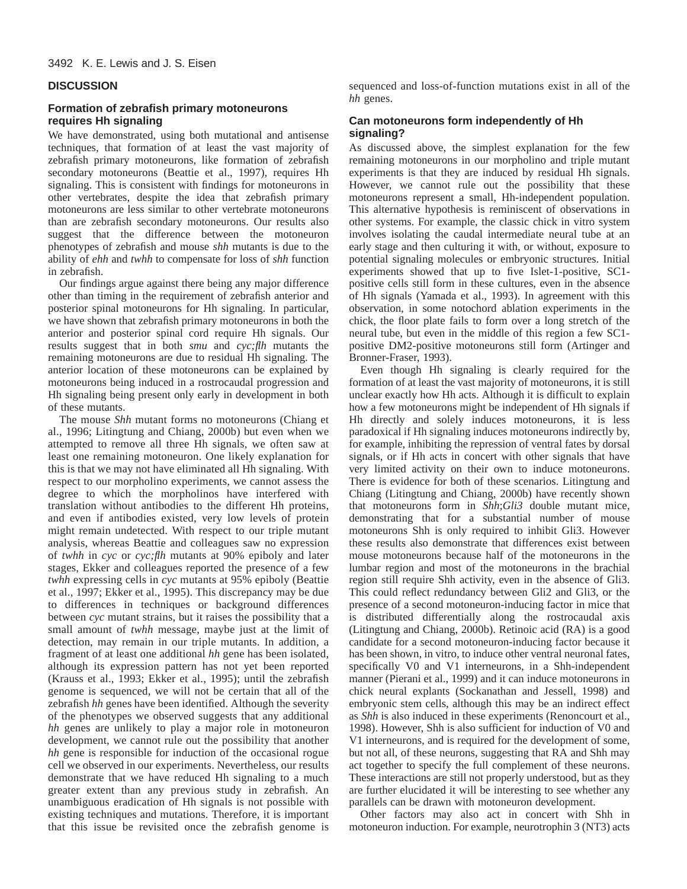# **DISCUSSION**

# **Formation of zebrafish primary motoneurons requires Hh signaling**

We have demonstrated, using both mutational and antisense techniques, that formation of at least the vast majority of zebrafish primary motoneurons, like formation of zebrafish secondary motoneurons (Beattie et al., 1997), requires Hh signaling. This is consistent with findings for motoneurons in other vertebrates, despite the idea that zebrafish primary motoneurons are less similar to other vertebrate motoneurons than are zebrafish secondary motoneurons. Our results also suggest that the difference between the motoneuron phenotypes of zebrafish and mouse *shh* mutants is due to the ability of *ehh* and *twhh* to compensate for loss of *shh* function in zebrafish.

Our findings argue against there being any major difference other than timing in the requirement of zebrafish anterior and posterior spinal motoneurons for Hh signaling. In particular, we have shown that zebrafish primary motoneurons in both the anterior and posterior spinal cord require Hh signals. Our results suggest that in both *smu* and *cyc;flh* mutants the remaining motoneurons are due to residual Hh signaling. The anterior location of these motoneurons can be explained by motoneurons being induced in a rostrocaudal progression and Hh signaling being present only early in development in both of these mutants.

The mouse *Shh* mutant forms no motoneurons (Chiang et al., 1996; Litingtung and Chiang, 2000b) but even when we attempted to remove all three Hh signals, we often saw at least one remaining motoneuron. One likely explanation for this is that we may not have eliminated all Hh signaling. With respect to our morpholino experiments, we cannot assess the degree to which the morpholinos have interfered with translation without antibodies to the different Hh proteins, and even if antibodies existed, very low levels of protein might remain undetected. With respect to our triple mutant analysis, whereas Beattie and colleagues saw no expression of *twhh* in *cyc* or *cyc;flh* mutants at 90% epiboly and later stages, Ekker and colleagues reported the presence of a few *twhh* expressing cells in *cyc* mutants at 95% epiboly (Beattie et al., 1997; Ekker et al., 1995). This discrepancy may be due to differences in techniques or background differences between *cyc* mutant strains, but it raises the possibility that a small amount of *twhh* message, maybe just at the limit of detection, may remain in our triple mutants. In addition, a fragment of at least one additional *hh* gene has been isolated, although its expression pattern has not yet been reported (Krauss et al., 1993; Ekker et al., 1995); until the zebrafish genome is sequenced, we will not be certain that all of the zebrafish *hh* genes have been identified. Although the severity of the phenotypes we observed suggests that any additional *hh* genes are unlikely to play a major role in motoneuron development, we cannot rule out the possibility that another *hh* gene is responsible for induction of the occasional rogue cell we observed in our experiments. Nevertheless, our results demonstrate that we have reduced Hh signaling to a much greater extent than any previous study in zebrafish. An unambiguous eradication of Hh signals is not possible with existing techniques and mutations. Therefore, it is important that this issue be revisited once the zebrafish genome is

sequenced and loss-of-function mutations exist in all of the *hh* genes.

# **Can motoneurons form independently of Hh signaling?**

As discussed above, the simplest explanation for the few remaining motoneurons in our morpholino and triple mutant experiments is that they are induced by residual Hh signals. However, we cannot rule out the possibility that these motoneurons represent a small, Hh-independent population. This alternative hypothesis is reminiscent of observations in other systems. For example, the classic chick in vitro system involves isolating the caudal intermediate neural tube at an early stage and then culturing it with, or without, exposure to potential signaling molecules or embryonic structures. Initial experiments showed that up to five Islet-1-positive, SC1 positive cells still form in these cultures, even in the absence of Hh signals (Yamada et al., 1993). In agreement with this observation, in some notochord ablation experiments in the chick, the floor plate fails to form over a long stretch of the neural tube, but even in the middle of this region a few SC1 positive DM2-positive motoneurons still form (Artinger and Bronner-Fraser, 1993).

Even though Hh signaling is clearly required for the formation of at least the vast majority of motoneurons, it is still unclear exactly how Hh acts. Although it is difficult to explain how a few motoneurons might be independent of Hh signals if Hh directly and solely induces motoneurons, it is less paradoxical if Hh signaling induces motoneurons indirectly by, for example, inhibiting the repression of ventral fates by dorsal signals, or if Hh acts in concert with other signals that have very limited activity on their own to induce motoneurons. There is evidence for both of these scenarios. Litingtung and Chiang (Litingtung and Chiang, 2000b) have recently shown that motoneurons form in *Shh*;*Gli3* double mutant mice, demonstrating that for a substantial number of mouse motoneurons Shh is only required to inhibit Gli3. However these results also demonstrate that differences exist between mouse motoneurons because half of the motoneurons in the lumbar region and most of the motoneurons in the brachial region still require Shh activity, even in the absence of Gli3. This could reflect redundancy between Gli2 and Gli3, or the presence of a second motoneuron-inducing factor in mice that is distributed differentially along the rostrocaudal axis (Litingtung and Chiang, 2000b). Retinoic acid (RA) is a good candidate for a second motoneuron-inducing factor because it has been shown, in vitro, to induce other ventral neuronal fates, specifically V0 and V1 interneurons, in a Shh-independent manner (Pierani et al., 1999) and it can induce motoneurons in chick neural explants (Sockanathan and Jessell, 1998) and embryonic stem cells, although this may be an indirect effect as *Shh* is also induced in these experiments (Renoncourt et al., 1998). However, Shh is also sufficient for induction of V0 and V1 interneurons, and is required for the development of some, but not all, of these neurons, suggesting that RA and Shh may act together to specify the full complement of these neurons. These interactions are still not properly understood, but as they are further elucidated it will be interesting to see whether any parallels can be drawn with motoneuron development.

Other factors may also act in concert with Shh in motoneuron induction. For example, neurotrophin 3 (NT3) acts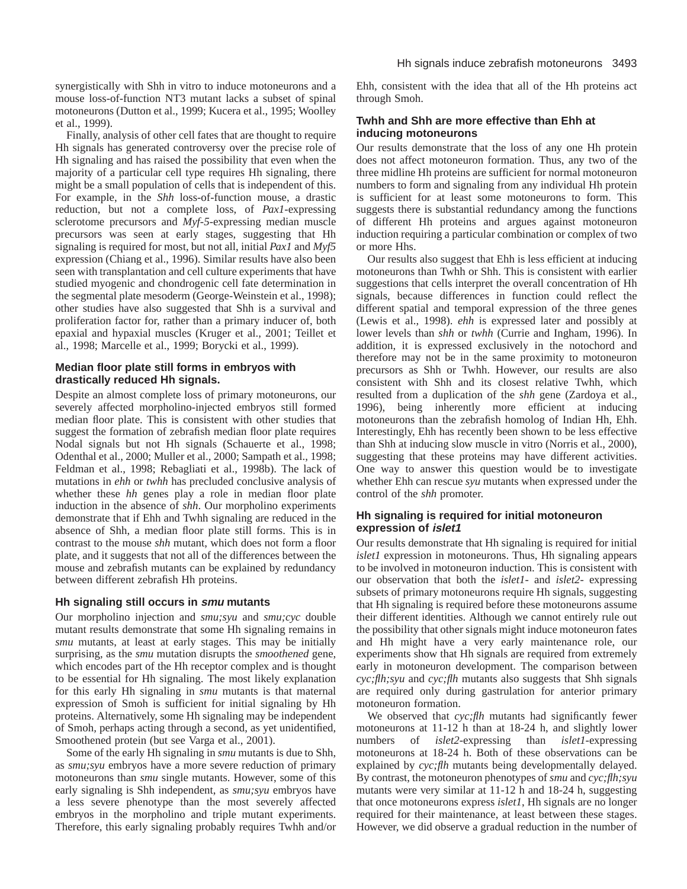synergistically with Shh in vitro to induce motoneurons and a mouse loss-of-function NT3 mutant lacks a subset of spinal motoneurons (Dutton et al., 1999; Kucera et al., 1995; Woolley et al., 1999).

Finally, analysis of other cell fates that are thought to require Hh signals has generated controversy over the precise role of Hh signaling and has raised the possibility that even when the majority of a particular cell type requires Hh signaling, there might be a small population of cells that is independent of this. For example, in the *Shh* loss-of-function mouse, a drastic reduction, but not a complete loss, of *Pax1*-expressing sclerotome precursors and *Myf-5*-expressing median muscle precursors was seen at early stages, suggesting that Hh signaling is required for most, but not all, initial *Pax1* and *Myf5* expression (Chiang et al., 1996). Similar results have also been seen with transplantation and cell culture experiments that have studied myogenic and chondrogenic cell fate determination in the segmental plate mesoderm (George-Weinstein et al., 1998); other studies have also suggested that Shh is a survival and proliferation factor for, rather than a primary inducer of, both epaxial and hypaxial muscles (Kruger et al., 2001; Teillet et al., 1998; Marcelle et al., 1999; Borycki et al., 1999).

# **Median floor plate still forms in embryos with drastically reduced Hh signals.**

Despite an almost complete loss of primary motoneurons, our severely affected morpholino-injected embryos still formed median floor plate. This is consistent with other studies that suggest the formation of zebrafish median floor plate requires Nodal signals but not Hh signals (Schauerte et al., 1998; Odenthal et al., 2000; Muller et al., 2000; Sampath et al., 1998; Feldman et al., 1998; Rebagliati et al., 1998b). The lack of mutations in *ehh* or *twhh* has precluded conclusive analysis of whether these *hh* genes play a role in median floor plate induction in the absence of *shh*. Our morpholino experiments demonstrate that if Ehh and Twhh signaling are reduced in the absence of Shh, a median floor plate still forms. This is in contrast to the mouse *shh* mutant, which does not form a floor plate, and it suggests that not all of the differences between the mouse and zebrafish mutants can be explained by redundancy between different zebrafish Hh proteins.

# **Hh signaling still occurs in smu mutants**

Our morpholino injection and *smu;syu* and *smu;cyc* double mutant results demonstrate that some Hh signaling remains in *smu* mutants, at least at early stages. This may be initially surprising, as the *smu* mutation disrupts the *smoothened* gene, which encodes part of the Hh receptor complex and is thought to be essential for Hh signaling. The most likely explanation for this early Hh signaling in *smu* mutants is that maternal expression of Smoh is sufficient for initial signaling by Hh proteins. Alternatively, some Hh signaling may be independent of Smoh*,* perhaps acting through a second, as yet unidentified, Smoothened protein (but see Varga et al., 2001).

Some of the early Hh signaling in *smu* mutants is due to Shh, as *smu;syu* embryos have a more severe reduction of primary motoneurons than *smu* single mutants. However, some of this early signaling is Shh independent, as *smu;syu* embryos have a less severe phenotype than the most severely affected embryos in the morpholino and triple mutant experiments. Therefore, this early signaling probably requires Twhh and/or Ehh*,* consistent with the idea that all of the Hh proteins act through Smoh.

# **Twhh and Shh are more effective than Ehh at inducing motoneurons**

Our results demonstrate that the loss of any one Hh protein does not affect motoneuron formation. Thus, any two of the three midline Hh proteins are sufficient for normal motoneuron numbers to form and signaling from any individual Hh protein is sufficient for at least some motoneurons to form. This suggests there is substantial redundancy among the functions of different Hh proteins and argues against motoneuron induction requiring a particular combination or complex of two or more Hhs.

Our results also suggest that Ehh is less efficient at inducing motoneurons than Twhh or Shh. This is consistent with earlier suggestions that cells interpret the overall concentration of Hh signals, because differences in function could reflect the different spatial and temporal expression of the three genes (Lewis et al., 1998). *ehh* is expressed later and possibly at lower levels than *shh* or *twhh* (Currie and Ingham, 1996). In addition, it is expressed exclusively in the notochord and therefore may not be in the same proximity to motoneuron precursors as Shh or Twhh. However, our results are also consistent with Shh and its closest relative Twhh, which resulted from a duplication of the *shh* gene (Zardoya et al., 1996), being inherently more efficient at inducing motoneurons than the zebrafish homolog of Indian Hh*,* Ehh. Interestingly, Ehh has recently been shown to be less effective than Shh at inducing slow muscle in vitro (Norris et al., 2000), suggesting that these proteins may have different activities. One way to answer this question would be to investigate whether Ehh can rescue *syu* mutants when expressed under the control of the *shh* promoter.

# **Hh signaling is required for initial motoneuron expression of islet1**

Our results demonstrate that Hh signaling is required for initial *islet1* expression in motoneurons. Thus, Hh signaling appears to be involved in motoneuron induction. This is consistent with our observation that both the *islet1*- and *islet2*- expressing subsets of primary motoneurons require Hh signals, suggesting that Hh signaling is required before these motoneurons assume their different identities. Although we cannot entirely rule out the possibility that other signals might induce motoneuron fates and Hh might have a very early maintenance role, our experiments show that Hh signals are required from extremely early in motoneuron development. The comparison between *cyc;flh;syu* and *cyc;flh* mutants also suggests that Shh signals are required only during gastrulation for anterior primary motoneuron formation.

We observed that *cyc;flh* mutants had significantly fewer motoneurons at 11-12 h than at 18-24 h, and slightly lower numbers of *islet2*-expressing than *islet1*-expressing motoneurons at 18-24 h. Both of these observations can be explained by *cyc;flh* mutants being developmentally delayed. By contrast, the motoneuron phenotypes of *smu* and *cyc;flh;syu* mutants were very similar at 11-12 h and 18-24 h, suggesting that once motoneurons express *islet1*, Hh signals are no longer required for their maintenance, at least between these stages. However, we did observe a gradual reduction in the number of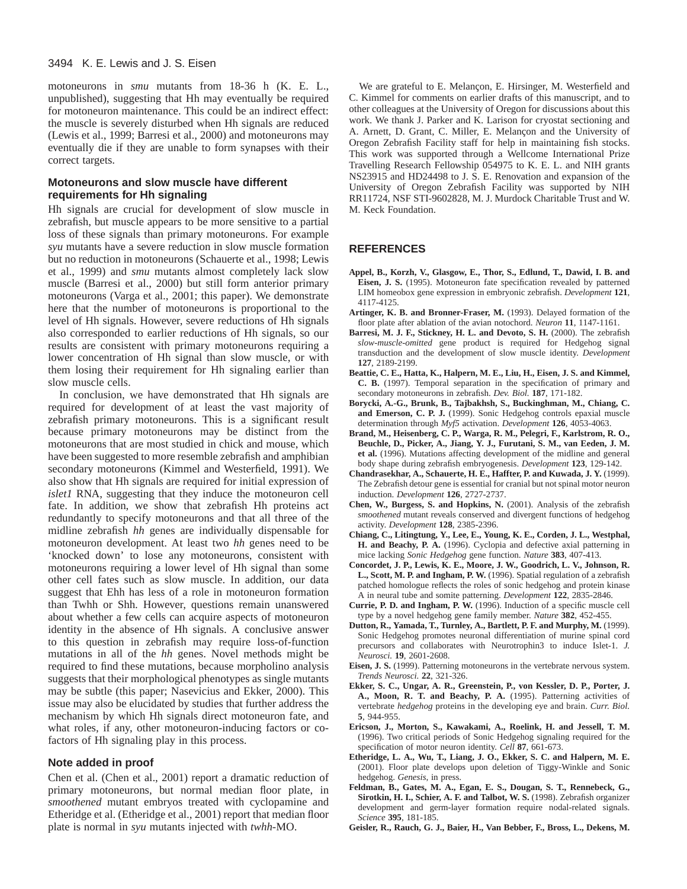#### 3494 K. E. Lewis and J. S. Eisen

motoneurons in *smu* mutants from 18-36 h (K. E. L., unpublished), suggesting that Hh may eventually be required for motoneuron maintenance. This could be an indirect effect: the muscle is severely disturbed when Hh signals are reduced (Lewis et al., 1999; Barresi et al., 2000) and motoneurons may eventually die if they are unable to form synapses with their correct targets.

# **Motoneurons and slow muscle have different requirements for Hh signaling**

Hh signals are crucial for development of slow muscle in zebrafish, but muscle appears to be more sensitive to a partial loss of these signals than primary motoneurons. For example *syu* mutants have a severe reduction in slow muscle formation but no reduction in motoneurons (Schauerte et al., 1998; Lewis et al., 1999) and *smu* mutants almost completely lack slow muscle (Barresi et al., 2000) but still form anterior primary motoneurons (Varga et al., 2001; this paper). We demonstrate here that the number of motoneurons is proportional to the level of Hh signals. However, severe reductions of Hh signals also corresponded to earlier reductions of Hh signals, so our results are consistent with primary motoneurons requiring a lower concentration of Hh signal than slow muscle, or with them losing their requirement for Hh signaling earlier than slow muscle cells.

In conclusion, we have demonstrated that Hh signals are required for development of at least the vast majority of zebrafish primary motoneurons. This is a significant result because primary motoneurons may be distinct from the motoneurons that are most studied in chick and mouse, which have been suggested to more resemble zebrafish and amphibian secondary motoneurons (Kimmel and Westerfield, 1991). We also show that Hh signals are required for initial expression of *islet1* RNA, suggesting that they induce the motoneuron cell fate. In addition, we show that zebrafish Hh proteins act redundantly to specify motoneurons and that all three of the midline zebrafish *hh* genes are individually dispensable for motoneuron development. At least two *hh* genes need to be 'knocked down' to lose any motoneurons, consistent with motoneurons requiring a lower level of Hh signal than some other cell fates such as slow muscle. In addition, our data suggest that Ehh has less of a role in motoneuron formation than Twhh or Shh. However, questions remain unanswered about whether a few cells can acquire aspects of motoneuron identity in the absence of Hh signals. A conclusive answer to this question in zebrafish may require loss-of-function mutations in all of the *hh* genes. Novel methods might be required to find these mutations, because morpholino analysis suggests that their morphological phenotypes as single mutants may be subtle (this paper; Nasevicius and Ekker, 2000). This issue may also be elucidated by studies that further address the mechanism by which Hh signals direct motoneuron fate, and what roles, if any, other motoneuron-inducing factors or cofactors of Hh signaling play in this process.

#### **Note added in proof**

Chen et al. (Chen et al., 2001) report a dramatic reduction of primary motoneurons, but normal median floor plate, in *smoothened* mutant embryos treated with cyclopamine and Etheridge et al. (Etheridge et al., 2001) report that median floor plate is normal in *syu* mutants injected with *twhh*-MO.

We are grateful to E. Melançon, E. Hirsinger, M. Westerfield and C. Kimmel for comments on earlier drafts of this manuscript, and to other colleagues at the University of Oregon for discussions about this work. We thank J. Parker and K. Larison for cryostat sectioning and A. Arnett, D. Grant, C. Miller, E. Melançon and the University of Oregon Zebrafish Facility staff for help in maintaining fish stocks. This work was supported through a Wellcome International Prize Travelling Research Fellowship 054975 to K. E. L. and NIH grants NS23915 and HD24498 to J. S. E. Renovation and expansion of the University of Oregon Zebrafish Facility was supported by NIH RR11724, NSF STI-9602828, M. J. Murdock Charitable Trust and W. M. Keck Foundation.

## **REFERENCES**

- **Appel, B., Korzh, V., Glasgow, E., Thor, S., Edlund, T., Dawid, I. B. and Eisen, J. S.** (1995). Motoneuron fate specification revealed by patterned LIM homeobox gene expression in embryonic zebrafish. *Development* **121**, 4117-4125.
- **Artinger, K. B. and Bronner-Fraser, M.** (1993). Delayed formation of the floor plate after ablation of the avian notochord. *Neuron* **11**, 1147-1161.
- **Barresi, M. J. F., Stickney, H. L. and Devoto, S. H.** (2000). The zebrafish *slow-muscle-omitted* gene product is required for Hedgehog signal transduction and the development of slow muscle identity. *Development* **127**, 2189-2199.
- **Beattie, C. E., Hatta, K., Halpern, M. E., Liu, H., Eisen, J. S. and Kimmel, C. B.** (1997). Temporal separation in the specification of primary and secondary motoneurons in zebrafish. *Dev. Biol.* **187**, 171-182.
- **Borycki, A.-G., Brunk, B., Tajbakhsh, S., Buckinghman, M., Chiang, C. and Emerson, C. P. J.** (1999). Sonic Hedgehog controls epaxial muscle determination through *Myf5* activation. *Development* **126**, 4053-4063.
- **Brand, M., Heisenberg, C. P., Warga, R. M., Pelegri, F., Karlstrom, R. O., Beuchle, D., Picker, A., Jiang, Y. J., Furutani, S. M., van Eeden, J. M. et al.** (1996). Mutations affecting development of the midline and general body shape during zebrafish embryogenesis. *Development* **123**, 129-142.
- **Chandrasekhar, A., Schauerte, H. E., Haffter, P. and Kuwada, J. Y.** (1999). The Zebrafish detour gene is essential for cranial but not spinal motor neuron induction. *Development* **126**, 2727-2737.
- **Chen, W., Burgess, S. and Hopkins, N.** (2001). Analysis of the zebrafish *smoothened* mutant reveals conserved and divergent functions of hedgehog activity. *Development* **128**, 2385-2396.
- **Chiang, C., Litingtung, Y., Lee, E., Young, K. E., Corden, J. L., Westphal, H. and Beachy, P. A.** (1996). Cyclopia and defective axial patterning in mice lacking *Sonic Hedgehog* gene function. *Nature* **383**, 407-413.
- **Concordet, J. P., Lewis, K. E., Moore, J. W., Goodrich, L. V., Johnson, R. L., Scott, M. P. and Ingham, P. W.** (1996). Spatial regulation of a zebrafish patched homologue reflects the roles of sonic hedgehog and protein kinase A in neural tube and somite patterning. *Development* **122**, 2835-2846.
- **Currie, P. D. and Ingham, P. W.** (1996). Induction of a specific muscle cell type by a novel hedgehog gene family member. *Nature* **382**, 452-455.
- **Dutton, R., Yamada, T., Turnley, A., Bartlett, P. F. and Murphy, M.** (1999). Sonic Hedgehog promotes neuronal differentiation of murine spinal cord precursors and collaborates with Neurotrophin3 to induce Islet-1. *J. Neurosci.* **19**, 2601-2608.
- **Eisen, J. S.** (1999). Patterning motoneurons in the vertebrate nervous system. *Trends Neurosci.* **22**, 321-326.
- **Ekker, S. C., Ungar, A. R., Greenstein, P., von Kessler, D. P., Porter, J. A., Moon, R. T. and Beachy, P. A.** (1995). Patterning activities of vertebrate *hedgehog* proteins in the developing eye and brain. *Curr. Biol.* **5**, 944-955.
- **Ericson, J., Morton, S., Kawakami, A., Roelink, H. and Jessell, T. M.** (1996). Two critical periods of Sonic Hedgehog signaling required for the specification of motor neuron identity. *Cell* **87**, 661-673.
- **Etheridge, L. A., Wu, T., Liang, J. O., Ekker, S. C. and Halpern, M. E.** (2001). Floor plate develops upon deletion of Tiggy-Winkle and Sonic hedgehog. *Genesis*, in press.
- **Feldman, B., Gates, M. A., Egan, E. S., Dougan, S. T., Rennebeck, G., Sirotkin, H. I., Schier, A. F. and Talbot, W. S.** (1998). Zebrafish organizer development and germ-layer formation require nodal-related signals. *Science* **395**, 181-185.
- **Geisler, R., Rauch, G. J., Baier, H., Van Bebber, F., Bross, L., Dekens, M.**